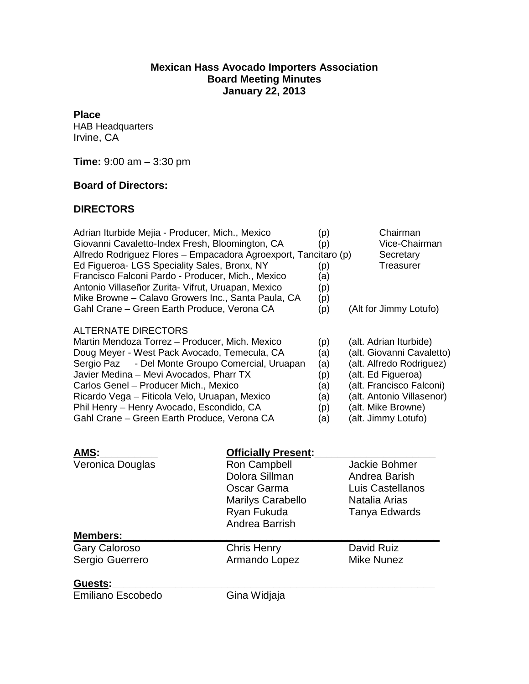## **Mexican Hass Avocado Importers Association Board Meeting Minutes January 22, 2013**

**Place**

HAB Headquarters Irvine, CA

**Time:** 9:00 am – 3:30 pm

## **Board of Directors:**

## **DIRECTORS**

| Adrian Iturbide Mejia - Producer, Mich., Mexico<br>Giovanni Cavaletto-Index Fresh, Bloomington, CA<br>Alfredo Rodriguez Flores - Empacadora Agroexport, Tancitaro (p)<br>Ed Figueroa- LGS Speciality Sales, Bronx, NY<br>Francisco Falconi Pardo - Producer, Mich., Mexico<br>Antonio Villaseñor Zurita- Vifrut, Uruapan, Mexico<br>Mike Browne - Calavo Growers Inc., Santa Paula, CA<br>Gahl Crane - Green Earth Produce, Verona CA |                                                                                                                                          | (p)<br>(p)<br>(p)<br>(a)<br>(p)<br>(p)<br>(p)        | Chairman<br>Vice-Chairman<br>Secretary<br>Treasurer<br>(Alt for Jimmy Lotufo)                                                                                                                               |
|---------------------------------------------------------------------------------------------------------------------------------------------------------------------------------------------------------------------------------------------------------------------------------------------------------------------------------------------------------------------------------------------------------------------------------------|------------------------------------------------------------------------------------------------------------------------------------------|------------------------------------------------------|-------------------------------------------------------------------------------------------------------------------------------------------------------------------------------------------------------------|
| ALTERNATE DIRECTORS<br>Martin Mendoza Torrez - Producer, Mich. Mexico<br>Doug Meyer - West Pack Avocado, Temecula, CA<br>- Del Monte Groupo Comercial, Uruapan<br>Sergio Paz<br>Javier Medina - Mevi Avocados, Pharr TX<br>Carlos Genel - Producer Mich., Mexico<br>Ricardo Vega - Fiticola Velo, Uruapan, Mexico<br>Phil Henry - Henry Avocado, Escondido, CA<br>Gahl Crane - Green Earth Produce, Verona CA                         |                                                                                                                                          | (p)<br>(a)<br>(a)<br>(p)<br>(a)<br>(a)<br>(p)<br>(a) | (alt. Adrian Iturbide)<br>(alt. Giovanni Cavaletto)<br>(alt. Alfredo Rodriguez)<br>(alt. Ed Figueroa)<br>(alt. Francisco Falconi)<br>(alt. Antonio Villasenor)<br>(alt. Mike Browne)<br>(alt. Jimmy Lotufo) |
| AMS:<br>Veronica Douglas<br><b>Members:</b>                                                                                                                                                                                                                                                                                                                                                                                           | <b>Officially Present:</b><br>Ron Campbell<br>Dolora Sillman<br>Oscar Garma<br><b>Marilys Carabello</b><br>Ryan Fukuda<br>Andrea Barrish |                                                      | Jackie Bohmer<br>Andrea Barish<br>Luis Castellanos<br>Natalia Arias<br>Tanya Edwards                                                                                                                        |
| <b>Gary Caloroso</b>                                                                                                                                                                                                                                                                                                                                                                                                                  | <b>Chris Henry</b>                                                                                                                       |                                                      | David Ruiz                                                                                                                                                                                                  |
| Sergio Guerrero                                                                                                                                                                                                                                                                                                                                                                                                                       | Armando Lopez                                                                                                                            |                                                      | <b>Mike Nunez</b>                                                                                                                                                                                           |
| Guests:                                                                                                                                                                                                                                                                                                                                                                                                                               |                                                                                                                                          |                                                      |                                                                                                                                                                                                             |
| <b>Emiliano Escobedo</b>                                                                                                                                                                                                                                                                                                                                                                                                              | Gina Widjaja                                                                                                                             |                                                      |                                                                                                                                                                                                             |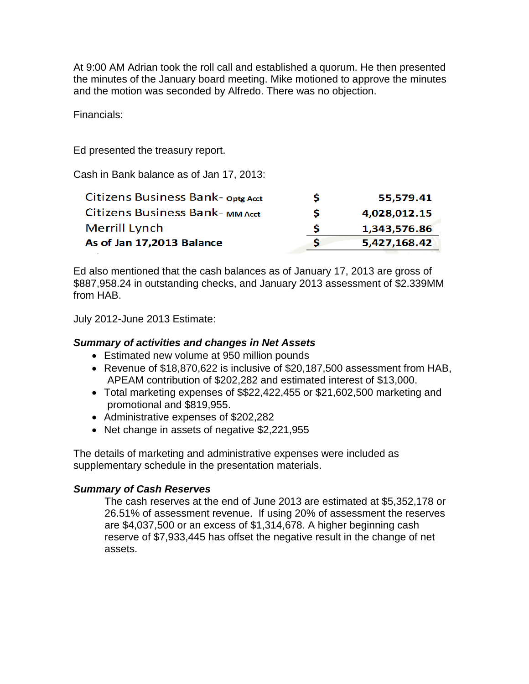At 9:00 AM Adrian took the roll call and established a quorum. He then presented the minutes of the January board meeting. Mike motioned to approve the minutes and the motion was seconded by Alfredo. There was no objection.

Financials:

Ed presented the treasury report.

Cash in Bank balance as of Jan 17, 2013:

| Citizens Business Bank-opte Acct | s | 55,579.41    |
|----------------------------------|---|--------------|
| Citizens Business Bank-MM Acct   | S | 4,028,012.15 |
| Merrill Lynch                    | S | 1,343,576.86 |
| As of Jan 17,2013 Balance        |   | 5,427,168.42 |
|                                  |   |              |

Ed also mentioned that the cash balances as of January 17, 2013 are gross of \$887,958.24 in outstanding checks, and January 2013 assessment of \$2.339MM from HAB.

July 2012-June 2013 Estimate:

## *Summary of activities and changes in Net Assets*

- Estimated new volume at 950 million pounds
- Revenue of \$18,870,622 is inclusive of \$20,187,500 assessment from HAB, APEAM contribution of \$202,282 and estimated interest of \$13,000.
- Total marketing expenses of \$\$22,422,455 or \$21,602,500 marketing and promotional and \$819,955.
- Administrative expenses of \$202,282
- Net change in assets of negative \$2,221,955

The details of marketing and administrative expenses were included as supplementary schedule in the presentation materials.

## *Summary of Cash Reserves*

The cash reserves at the end of June 2013 are estimated at \$5,352,178 or 26.51% of assessment revenue. If using 20% of assessment the reserves are \$4,037,500 or an excess of \$1,314,678. A higher beginning cash reserve of \$7,933,445 has offset the negative result in the change of net assets.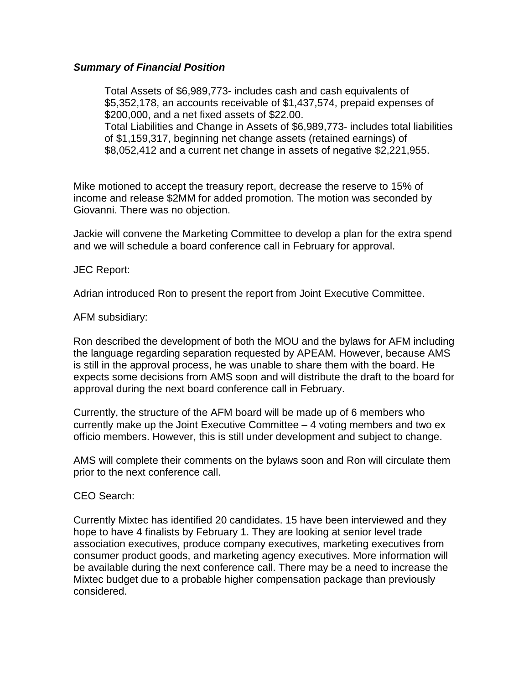#### *Summary of Financial Position*

Total Assets of \$6,989,773- includes cash and cash equivalents of \$5,352,178, an accounts receivable of \$1,437,574, prepaid expenses of \$200,000, and a net fixed assets of \$22.00. Total Liabilities and Change in Assets of \$6,989,773- includes total liabilities of \$1,159,317, beginning net change assets (retained earnings) of \$8,052,412 and a current net change in assets of negative \$2,221,955.

Mike motioned to accept the treasury report, decrease the reserve to 15% of income and release \$2MM for added promotion. The motion was seconded by Giovanni. There was no objection.

Jackie will convene the Marketing Committee to develop a plan for the extra spend and we will schedule a board conference call in February for approval.

#### JEC Report:

Adrian introduced Ron to present the report from Joint Executive Committee.

#### AFM subsidiary:

Ron described the development of both the MOU and the bylaws for AFM including the language regarding separation requested by APEAM. However, because AMS is still in the approval process, he was unable to share them with the board. He expects some decisions from AMS soon and will distribute the draft to the board for approval during the next board conference call in February.

Currently, the structure of the AFM board will be made up of 6 members who currently make up the Joint Executive Committee – 4 voting members and two ex officio members. However, this is still under development and subject to change.

AMS will complete their comments on the bylaws soon and Ron will circulate them prior to the next conference call.

## CEO Search:

Currently Mixtec has identified 20 candidates. 15 have been interviewed and they hope to have 4 finalists by February 1. They are looking at senior level trade association executives, produce company executives, marketing executives from consumer product goods, and marketing agency executives. More information will be available during the next conference call. There may be a need to increase the Mixtec budget due to a probable higher compensation package than previously considered.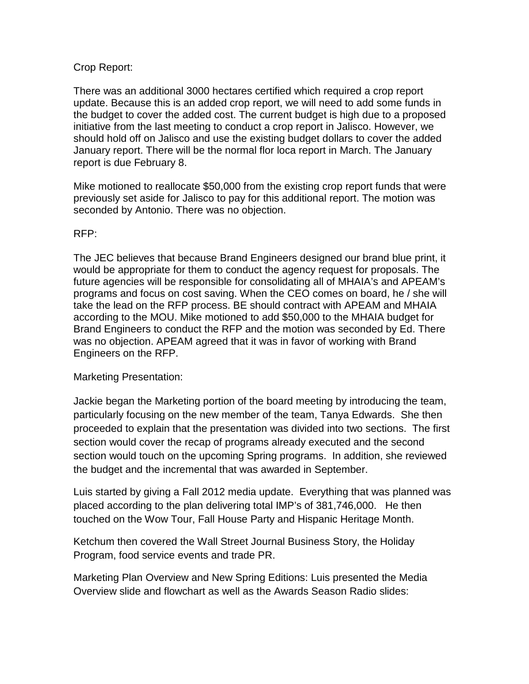## Crop Report:

There was an additional 3000 hectares certified which required a crop report update. Because this is an added crop report, we will need to add some funds in the budget to cover the added cost. The current budget is high due to a proposed initiative from the last meeting to conduct a crop report in Jalisco. However, we should hold off on Jalisco and use the existing budget dollars to cover the added January report. There will be the normal flor loca report in March. The January report is due February 8.

Mike motioned to reallocate \$50,000 from the existing crop report funds that were previously set aside for Jalisco to pay for this additional report. The motion was seconded by Antonio. There was no objection.

## RFP:

The JEC believes that because Brand Engineers designed our brand blue print, it would be appropriate for them to conduct the agency request for proposals. The future agencies will be responsible for consolidating all of MHAIA's and APEAM's programs and focus on cost saving. When the CEO comes on board, he / she will take the lead on the RFP process. BE should contract with APEAM and MHAIA according to the MOU. Mike motioned to add \$50,000 to the MHAIA budget for Brand Engineers to conduct the RFP and the motion was seconded by Ed. There was no objection. APEAM agreed that it was in favor of working with Brand Engineers on the RFP.

## Marketing Presentation:

Jackie began the Marketing portion of the board meeting by introducing the team, particularly focusing on the new member of the team, Tanya Edwards. She then proceeded to explain that the presentation was divided into two sections. The first section would cover the recap of programs already executed and the second section would touch on the upcoming Spring programs. In addition, she reviewed the budget and the incremental that was awarded in September.

Luis started by giving a Fall 2012 media update. Everything that was planned was placed according to the plan delivering total IMP's of 381,746,000. He then touched on the Wow Tour, Fall House Party and Hispanic Heritage Month.

Ketchum then covered the Wall Street Journal Business Story, the Holiday Program, food service events and trade PR.

Marketing Plan Overview and New Spring Editions: Luis presented the Media Overview slide and flowchart as well as the Awards Season Radio slides: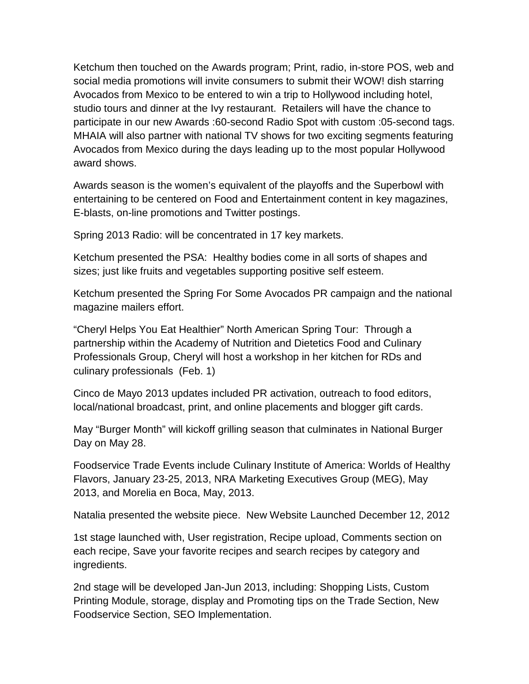Ketchum then touched on the Awards program; Print, radio, in-store POS, web and social media promotions will invite consumers to submit their WOW! dish starring Avocados from Mexico to be entered to win a trip to Hollywood including hotel, studio tours and dinner at the Ivy restaurant. Retailers will have the chance to participate in our new Awards :60-second Radio Spot with custom :05-second tags. MHAIA will also partner with national TV shows for two exciting segments featuring Avocados from Mexico during the days leading up to the most popular Hollywood award shows.

Awards season is the women's equivalent of the playoffs and the Superbowl with entertaining to be centered on Food and Entertainment content in key magazines, E-blasts, on-line promotions and Twitter postings.

Spring 2013 Radio: will be concentrated in 17 key markets.

Ketchum presented the PSA: Healthy bodies come in all sorts of shapes and sizes; just like fruits and vegetables supporting positive self esteem.

Ketchum presented the Spring For Some Avocados PR campaign and the national magazine mailers effort.

"Cheryl Helps You Eat Healthier" North American Spring Tour: Through a partnership within the Academy of Nutrition and Dietetics Food and Culinary Professionals Group, Cheryl will host a workshop in her kitchen for RDs and culinary professionals (Feb. 1)

Cinco de Mayo 2013 updates included PR activation, outreach to food editors, local/national broadcast, print, and online placements and blogger gift cards.

May "Burger Month" will kickoff grilling season that culminates in National Burger Day on May 28.

Foodservice Trade Events include Culinary Institute of America: Worlds of Healthy Flavors, January 23-25, 2013, NRA Marketing Executives Group (MEG), May 2013, and Morelia en Boca, May, 2013.

Natalia presented the website piece. New Website Launched December 12, 2012

1st stage launched with, User registration, Recipe upload, Comments section on each recipe, Save your favorite recipes and search recipes by category and ingredients.

2nd stage will be developed Jan-Jun 2013, including: Shopping Lists, Custom Printing Module, storage, display and Promoting tips on the Trade Section, New Foodservice Section, SEO Implementation.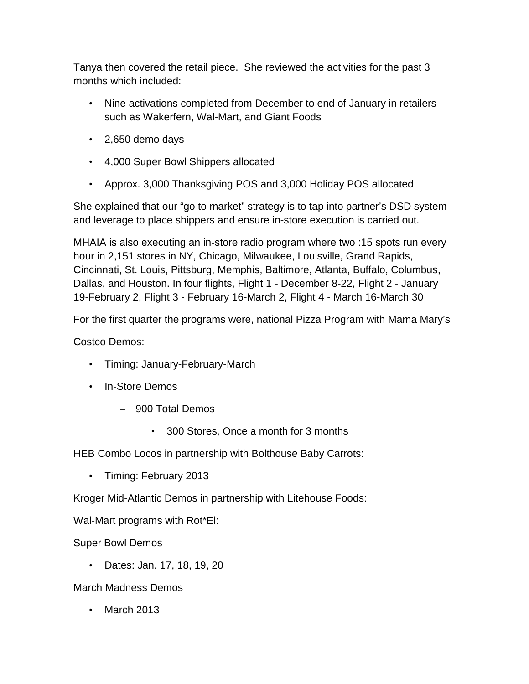Tanya then covered the retail piece. She reviewed the activities for the past 3 months which included:

- Nine activations completed from December to end of January in retailers such as Wakerfern, Wal-Mart, and Giant Foods
- 2,650 demo days
- 4,000 Super Bowl Shippers allocated
- Approx. 3,000 Thanksgiving POS and 3,000 Holiday POS allocated

She explained that our "go to market" strategy is to tap into partner's DSD system and leverage to place shippers and ensure in-store execution is carried out.

MHAIA is also executing an in-store radio program where two :15 spots run every hour in 2,151 stores in NY, Chicago, Milwaukee, Louisville, Grand Rapids, Cincinnati, St. Louis, Pittsburg, Memphis, Baltimore, Atlanta, Buffalo, Columbus, Dallas, and Houston. In four flights, Flight 1 - December 8-22, Flight 2 - January 19-February 2, Flight 3 - February 16-March 2, Flight 4 - March 16-March 30

For the first quarter the programs were, national Pizza Program with Mama Mary's

Costco Demos:

- Timing: January-February-March
- In-Store Demos
	- 900 Total Demos
		- 300 Stores, Once a month for 3 months

HEB Combo Locos in partnership with Bolthouse Baby Carrots:

• Timing: February 2013

Kroger Mid-Atlantic Demos in partnership with Litehouse Foods:

Wal-Mart programs with Rot\*El:

Super Bowl Demos

• Dates: Jan. 17, 18, 19, 20

March Madness Demos

• March 2013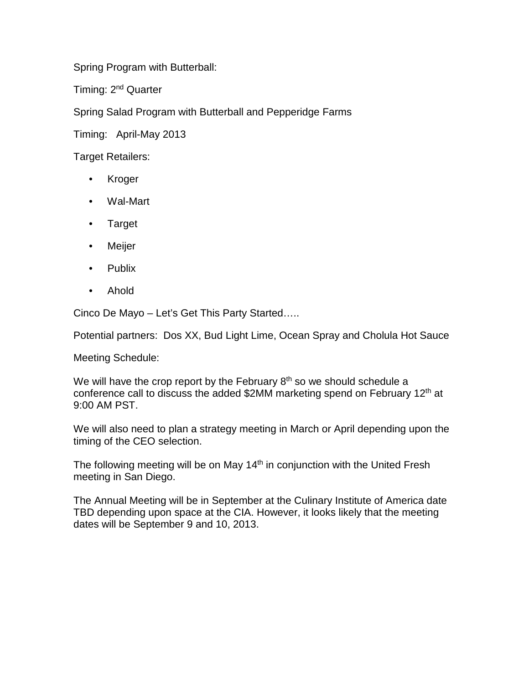Spring Program with Butterball:

Timing: 2<sup>nd</sup> Quarter

Spring Salad Program with Butterball and Pepperidge Farms

Timing: April-May 2013

Target Retailers:

- **Kroger**
- Wal-Mart
- Target
- Meijer
- Publix
- Ahold

Cinco De Mayo – Let's Get This Party Started…..

Potential partners: Dos XX, Bud Light Lime, Ocean Spray and Cholula Hot Sauce

Meeting Schedule:

We will have the crop report by the February  $8<sup>th</sup>$  so we should schedule a conference call to discuss the added \$2MM marketing spend on February 12th at 9:00 AM PST.

We will also need to plan a strategy meeting in March or April depending upon the timing of the CEO selection.

The following meeting will be on May 14<sup>th</sup> in conjunction with the United Fresh meeting in San Diego.

The Annual Meeting will be in September at the Culinary Institute of America date TBD depending upon space at the CIA. However, it looks likely that the meeting dates will be September 9 and 10, 2013.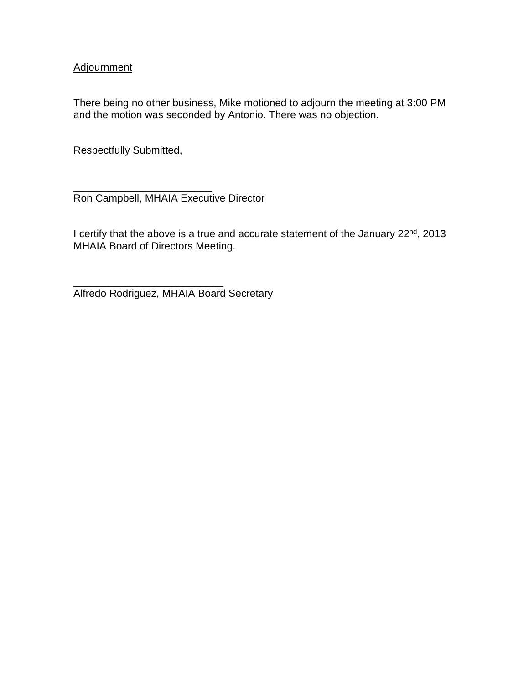#### **Adjournment**

There being no other business, Mike motioned to adjourn the meeting at 3:00 PM and the motion was seconded by Antonio. There was no objection.

Respectfully Submitted,

\_\_\_\_\_\_\_\_\_\_\_\_\_\_\_\_\_\_\_\_\_\_\_\_

\_\_\_\_\_\_\_\_\_\_\_\_\_\_\_\_\_\_\_\_\_\_\_\_\_\_

Ron Campbell, MHAIA Executive Director

I certify that the above is a true and accurate statement of the January 22nd, 2013 MHAIA Board of Directors Meeting.

Alfredo Rodriguez, MHAIA Board Secretary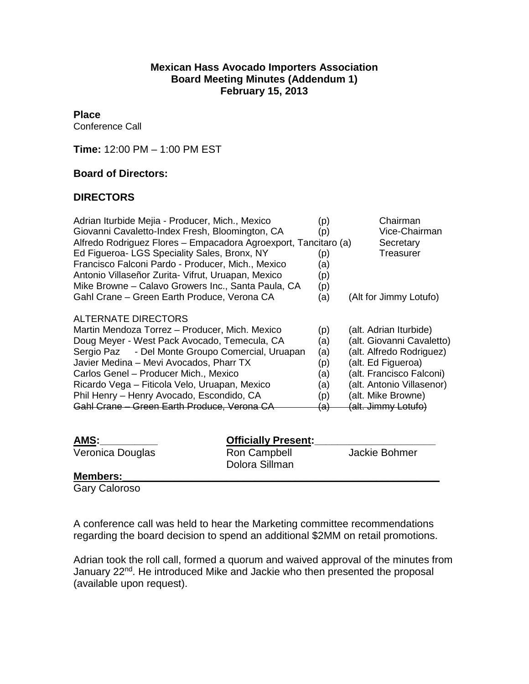#### **Mexican Hass Avocado Importers Association Board Meeting Minutes (Addendum 1) February 15, 2013**

#### **Place**

Conference Call

**Time:** 12:00 PM – 1:00 PM EST

#### **Board of Directors:**

#### **DIRECTORS**

| Adrian Iturbide Mejia - Producer, Mich., Mexico                 | (p)            | Chairman                  |
|-----------------------------------------------------------------|----------------|---------------------------|
| Giovanni Cavaletto-Index Fresh, Bloomington, CA                 | (p)            | Vice-Chairman             |
| Alfredo Rodriguez Flores - Empacadora Agroexport, Tancitaro (a) |                | Secretary                 |
| Ed Figueroa- LGS Speciality Sales, Bronx, NY                    | (p)            | Treasurer                 |
| Francisco Falconi Pardo - Producer, Mich., Mexico               | (a)            |                           |
| Antonio Villaseñor Zurita- Vifrut, Uruapan, Mexico              | (p)            |                           |
| Mike Browne – Calavo Growers Inc., Santa Paula, CA              | (p)            |                           |
| Gahl Crane – Green Earth Produce, Verona CA                     | (a)            | (Alt for Jimmy Lotufo)    |
| <b>ALTERNATE DIRECTORS</b>                                      |                |                           |
| Martin Mendoza Torrez – Producer, Mich. Mexico                  | (p)            | (alt. Adrian Iturbide)    |
| Doug Meyer - West Pack Avocado, Temecula, CA                    | (a)            | (alt. Giovanni Cavaletto) |
| - Del Monte Groupo Comercial, Uruapan<br>Sergio Paz             | (a)            | (alt. Alfredo Rodriguez)  |
| Javier Medina - Mevi Avocados, Pharr TX                         | (p)            | (alt. Ed Figueroa)        |
| Carlos Genel - Producer Mich., Mexico                           | (a)            | (alt. Francisco Falconi)  |
| Ricardo Vega - Fiticola Velo, Uruapan, Mexico                   | (a)            | (alt. Antonio Villasenor) |
| Phil Henry - Henry Avocado, Escondido, CA                       | (p)            | (alt. Mike Browne)        |
| Gahl Crane - Green Earth Produce, Verona CA                     | <del>(a)</del> | (alt. Jimmy Lotufo)       |
|                                                                 |                |                           |
|                                                                 |                |                           |

| AMS:                 | <b>Officially Present:</b>     |               |
|----------------------|--------------------------------|---------------|
| Veronica Douglas     | Ron Campbell<br>Dolora Sillman | Jackie Bohmer |
| <b>Members:</b>      |                                |               |
| <b>Gary Caloroso</b> |                                |               |

A conference call was held to hear the Marketing committee recommendations regarding the board decision to spend an additional \$2MM on retail promotions.

Adrian took the roll call, formed a quorum and waived approval of the minutes from January 22<sup>nd</sup>. He introduced Mike and Jackie who then presented the proposal (available upon request).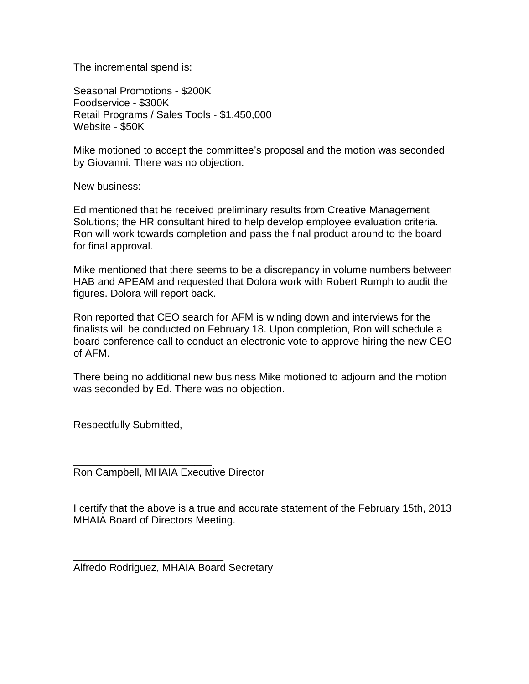The incremental spend is:

Seasonal Promotions - \$200K Foodservice - \$300K Retail Programs / Sales Tools - \$1,450,000 Website - \$50K

Mike motioned to accept the committee's proposal and the motion was seconded by Giovanni. There was no objection.

New business:

Ed mentioned that he received preliminary results from Creative Management Solutions; the HR consultant hired to help develop employee evaluation criteria. Ron will work towards completion and pass the final product around to the board for final approval.

Mike mentioned that there seems to be a discrepancy in volume numbers between HAB and APEAM and requested that Dolora work with Robert Rumph to audit the figures. Dolora will report back.

Ron reported that CEO search for AFM is winding down and interviews for the finalists will be conducted on February 18. Upon completion, Ron will schedule a board conference call to conduct an electronic vote to approve hiring the new CEO of AFM.

There being no additional new business Mike motioned to adjourn and the motion was seconded by Ed. There was no objection.

Respectfully Submitted,

\_\_\_\_\_\_\_\_\_\_\_\_\_\_\_\_\_\_\_\_\_\_\_\_ Ron Campbell, MHAIA Executive Director

I certify that the above is a true and accurate statement of the February 15th, 2013 MHAIA Board of Directors Meeting.

\_\_\_\_\_\_\_\_\_\_\_\_\_\_\_\_\_\_\_\_\_\_\_\_\_\_ Alfredo Rodriguez, MHAIA Board Secretary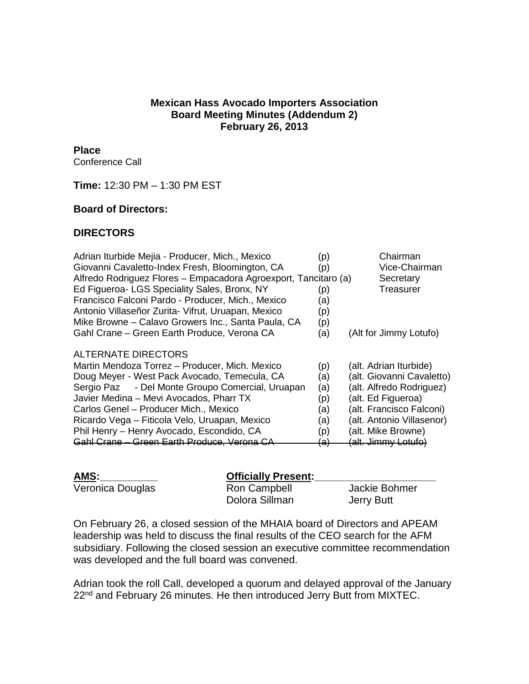#### **Mexican Hass Avocado Importers Association Board Meeting Minutes (Addendum 2) February 26, 2013**

# **Place**

Conference Call

**Time:** 12:30 PM – 1:30 PM EST

## **Board of Directors:**

## **DIRECTORS**

| Adrian Iturbide Mejia - Producer, Mich., Mexico                 | (p)            | Chairman                   |
|-----------------------------------------------------------------|----------------|----------------------------|
| Giovanni Cavaletto-Index Fresh, Bloomington, CA                 | (p)            | Vice-Chairman              |
| Alfredo Rodriguez Flores - Empacadora Agroexport, Tancitaro (a) |                | Secretary                  |
| Ed Figueroa- LGS Speciality Sales, Bronx, NY                    | (p)            | Treasurer                  |
| Francisco Falconi Pardo - Producer, Mich., Mexico               | (a)            |                            |
| Antonio Villaseñor Zurita- Vifrut, Uruapan, Mexico              | (p)            |                            |
| Mike Browne – Calavo Growers Inc., Santa Paula, CA              | (p)            |                            |
| Gahl Crane - Green Earth Produce, Verona CA                     | (a)            | (Alt for Jimmy Lotufo)     |
| <b>ALTERNATE DIRECTORS</b>                                      |                |                            |
| Martin Mendoza Torrez - Producer, Mich. Mexico                  | (p)            | (alt. Adrian Iturbide)     |
| Doug Meyer - West Pack Avocado, Temecula, CA                    | (a)            | (alt. Giovanni Cavaletto)  |
| Sergio Paz - Del Monte Groupo Comercial, Uruapan                | (a)            | (alt. Alfredo Rodriguez)   |
| Javier Medina - Mevi Avocados, Pharr TX                         | (p)            | (alt. Ed Figueroa)         |
| Carlos Genel - Producer Mich., Mexico                           | (a)            | (alt. Francisco Falconi)   |
| Ricardo Vega - Fiticola Velo, Uruapan, Mexico                   | (a)            | (alt. Antonio Villasenor)  |
| Phil Henry - Henry Avocado, Escondido, CA                       | (p)            | (alt. Mike Browne)         |
| Gahl Crane - Green Earth Produce, Verona CA                     | <del>(a)</del> | <u>(alt. Jimm∨ Lotufo)</u> |

| AMS:             | <b>Officially Present:</b>     |                             |
|------------------|--------------------------------|-----------------------------|
| Veronica Douglas | Ron Campbell<br>Dolora Sillman | Jackie Bohmer<br>Jerry Butt |

On February 26, a closed session of the MHAIA board of Directors and APEAM leadership was held to discuss the final results of the CEO search for the AFM subsidiary. Following the closed session an executive committee recommendation was developed and the full board was convened.

Adrian took the roll Call, developed a quorum and delayed approval of the January 22<sup>nd</sup> and February 26 minutes. He then introduced Jerry Butt from MIXTEC.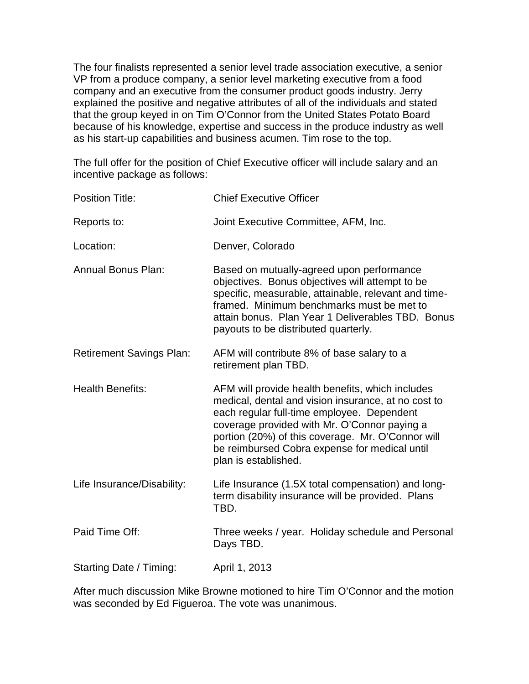The four finalists represented a senior level trade association executive, a senior VP from a produce company, a senior level marketing executive from a food company and an executive from the consumer product goods industry. Jerry explained the positive and negative attributes of all of the individuals and stated that the group keyed in on Tim O'Connor from the United States Potato Board because of his knowledge, expertise and success in the produce industry as well as his start-up capabilities and business acumen. Tim rose to the top.

The full offer for the position of Chief Executive officer will include salary and an incentive package as follows:

| <b>Position Title:</b>          | <b>Chief Executive Officer</b>                                                                                                                                                                                                                                                                                                      |
|---------------------------------|-------------------------------------------------------------------------------------------------------------------------------------------------------------------------------------------------------------------------------------------------------------------------------------------------------------------------------------|
| Reports to:                     | Joint Executive Committee, AFM, Inc.                                                                                                                                                                                                                                                                                                |
| Location:                       | Denver, Colorado                                                                                                                                                                                                                                                                                                                    |
| <b>Annual Bonus Plan:</b>       | Based on mutually-agreed upon performance<br>objectives. Bonus objectives will attempt to be<br>specific, measurable, attainable, relevant and time-<br>framed. Minimum benchmarks must be met to<br>attain bonus. Plan Year 1 Deliverables TBD. Bonus<br>payouts to be distributed quarterly.                                      |
| <b>Retirement Savings Plan:</b> | AFM will contribute 8% of base salary to a<br>retirement plan TBD.                                                                                                                                                                                                                                                                  |
| <b>Health Benefits:</b>         | AFM will provide health benefits, which includes<br>medical, dental and vision insurance, at no cost to<br>each regular full-time employee. Dependent<br>coverage provided with Mr. O'Connor paying a<br>portion (20%) of this coverage. Mr. O'Connor will<br>be reimbursed Cobra expense for medical until<br>plan is established. |
| Life Insurance/Disability:      | Life Insurance (1.5X total compensation) and long-<br>term disability insurance will be provided. Plans<br>TBD.                                                                                                                                                                                                                     |
| Paid Time Off:                  | Three weeks / year. Holiday schedule and Personal<br>Days TBD.                                                                                                                                                                                                                                                                      |
| Starting Date / Timing:         | April 1, 2013                                                                                                                                                                                                                                                                                                                       |
|                                 |                                                                                                                                                                                                                                                                                                                                     |

After much discussion Mike Browne motioned to hire Tim O'Connor and the motion was seconded by Ed Figueroa. The vote was unanimous.